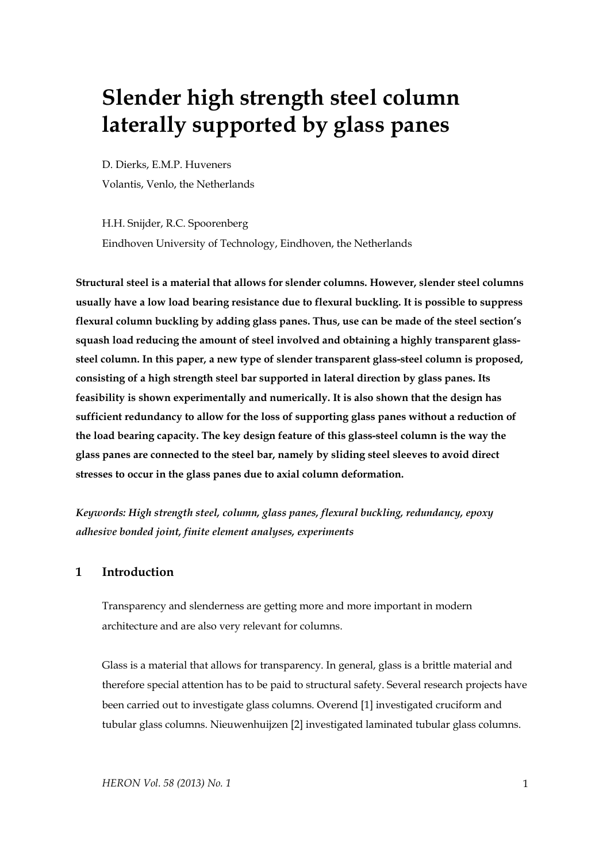# **Slender high strength steel column laterally supported by glass panes**

D. Dierks, E.M.P. Huveners Volantis, Venlo, the Netherlands

H.H. Snijder, R.C. Spoorenberg Eindhoven University of Technology, Eindhoven, the Netherlands

**Structural steel is a material that allows for slender columns. However, slender steel columns usually have a low load bearing resistance due to flexural buckling. It is possible to suppress flexural column buckling by adding glass panes. Thus, use can be made of the steel section's squash load reducing the amount of steel involved and obtaining a highly transparent glasssteel column. In this paper, a new type of slender transparent glass-steel column is proposed, consisting of a high strength steel bar supported in lateral direction by glass panes. Its feasibility is shown experimentally and numerically. It is also shown that the design has sufficient redundancy to allow for the loss of supporting glass panes without a reduction of the load bearing capacity. The key design feature of this glass-steel column is the way the glass panes are connected to the steel bar, namely by sliding steel sleeves to avoid direct stresses to occur in the glass panes due to axial column deformation.** 

*Keywords: High strength steel, column, glass panes, flexural buckling, redundancy, epoxy adhesive bonded joint, finite element analyses, experiments* 

# **1 Introduction**

Transparency and slenderness are getting more and more important in modern architecture and are also very relevant for columns.

Glass is a material that allows for transparency. In general, glass is a brittle material and therefore special attention has to be paid to structural safety. Several research projects have been carried out to investigate glass columns. Overend [1] investigated cruciform and tubular glass columns. Nieuwenhuijzen [2] investigated laminated tubular glass columns.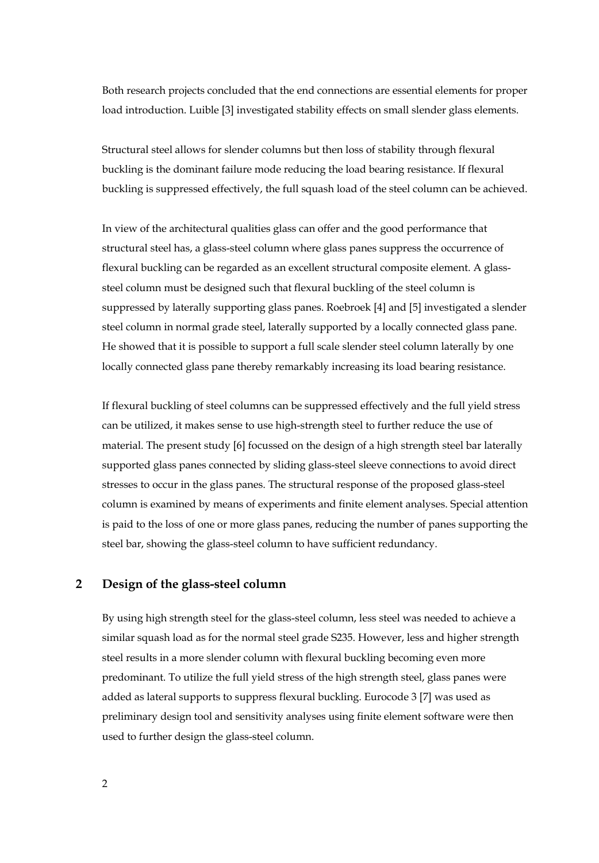Both research projects concluded that the end connections are essential elements for proper load introduction. Luible [3] investigated stability effects on small slender glass elements.

Structural steel allows for slender columns but then loss of stability through flexural buckling is the dominant failure mode reducing the load bearing resistance. If flexural buckling is suppressed effectively, the full squash load of the steel column can be achieved.

In view of the architectural qualities glass can offer and the good performance that structural steel has, a glass-steel column where glass panes suppress the occurrence of flexural buckling can be regarded as an excellent structural composite element. A glasssteel column must be designed such that flexural buckling of the steel column is suppressed by laterally supporting glass panes. Roebroek [4] and [5] investigated a slender steel column in normal grade steel, laterally supported by a locally connected glass pane. He showed that it is possible to support a full scale slender steel column laterally by one locally connected glass pane thereby remarkably increasing its load bearing resistance.

If flexural buckling of steel columns can be suppressed effectively and the full yield stress can be utilized, it makes sense to use high-strength steel to further reduce the use of material. The present study [6] focussed on the design of a high strength steel bar laterally supported glass panes connected by sliding glass-steel sleeve connections to avoid direct stresses to occur in the glass panes. The structural response of the proposed glass-steel column is examined by means of experiments and finite element analyses. Special attention is paid to the loss of one or more glass panes, reducing the number of panes supporting the steel bar, showing the glass-steel column to have sufficient redundancy.

## **2 Design of the glass-steel column**

By using high strength steel for the glass-steel column, less steel was needed to achieve a similar squash load as for the normal steel grade S235. However, less and higher strength steel results in a more slender column with flexural buckling becoming even more predominant. To utilize the full yield stress of the high strength steel, glass panes were added as lateral supports to suppress flexural buckling. Eurocode 3 [7] was used as preliminary design tool and sensitivity analyses using finite element software were then used to further design the glass-steel column.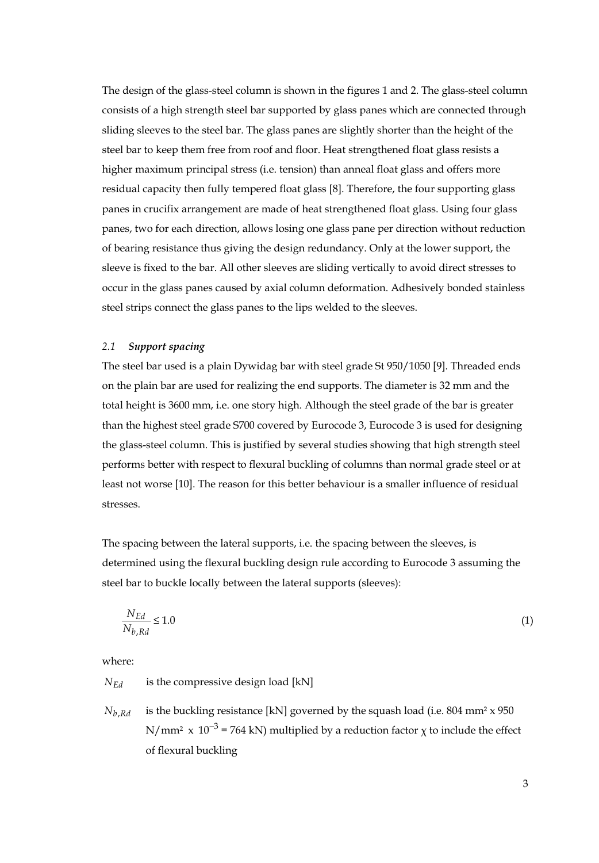The design of the glass-steel column is shown in the figures 1 and 2. The glass-steel column consists of a high strength steel bar supported by glass panes which are connected through sliding sleeves to the steel bar. The glass panes are slightly shorter than the height of the steel bar to keep them free from roof and floor. Heat strengthened float glass resists a higher maximum principal stress (i.e. tension) than anneal float glass and offers more residual capacity then fully tempered float glass [8]. Therefore, the four supporting glass panes in crucifix arrangement are made of heat strengthened float glass. Using four glass panes, two for each direction, allows losing one glass pane per direction without reduction of bearing resistance thus giving the design redundancy. Only at the lower support, the sleeve is fixed to the bar. All other sleeves are sliding vertically to avoid direct stresses to occur in the glass panes caused by axial column deformation. Adhesively bonded stainless steel strips connect the glass panes to the lips welded to the sleeves.

#### *2.1 Support spacing*

The steel bar used is a plain Dywidag bar with steel grade St 950/1050 [9]. Threaded ends on the plain bar are used for realizing the end supports. The diameter is 32 mm and the total height is 3600 mm, i.e. one story high. Although the steel grade of the bar is greater than the highest steel grade S700 covered by Eurocode 3, Eurocode 3 is used for designing the glass-steel column. This is justified by several studies showing that high strength steel performs better with respect to flexural buckling of columns than normal grade steel or at least not worse [10]. The reason for this better behaviour is a smaller influence of residual stresses.

The spacing between the lateral supports, i.e. the spacing between the sleeves, is determined using the flexural buckling design rule according to Eurocode 3 assuming the steel bar to buckle locally between the lateral supports (sleeves):

$$
\frac{N_{Ed}}{N_{b, Rd}} \le 1.0\tag{1}
$$

where:

 $N_{Ed}$  is the compressive design load [kN]

 $N_{b, Rd}$  is the buckling resistance [kN] governed by the squash load (i.e. 804 mm<sup>2</sup> x 950) N/mm<sup>2</sup> x  $10^{-3}$  = 764 kN) multiplied by a reduction factor  $\chi$  to include the effect of flexural buckling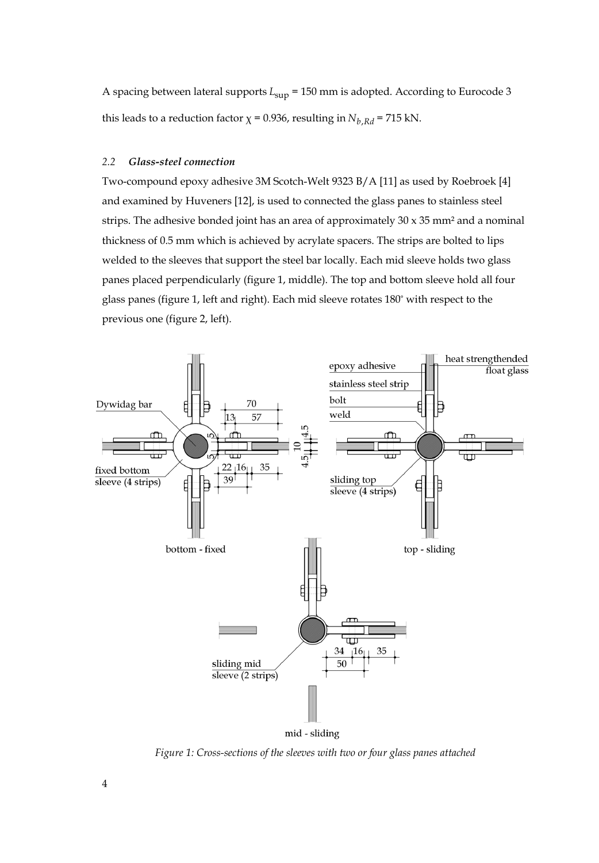A spacing between lateral supports  $L_{\text{sup}}$  = 150 mm is adopted. According to Eurocode 3 this leads to a reduction factor  $\chi$  = 0.936, resulting in  $N_{b, Rd}$  = 715 kN.

#### *2.2 Glass-steel connection*

Two-compound epoxy adhesive 3M Scotch-Welt 9323 B/A [11] as used by Roebroek [4] and examined by Huveners [12], is used to connected the glass panes to stainless steel strips. The adhesive bonded joint has an area of approximately  $30 \times 35$  mm<sup>2</sup> and a nominal thickness of 0.5 mm which is achieved by acrylate spacers. The strips are bolted to lips welded to the sleeves that support the steel bar locally. Each mid sleeve holds two glass panes placed perpendicularly (figure 1, middle). The top and bottom sleeve hold all four glass panes (figure 1, left and right). Each mid sleeve rotates 180° with respect to the previous one (figure 2, left).



mid - sliding

*Figure 1: Cross-sections of the sleeves with two or four glass panes attached*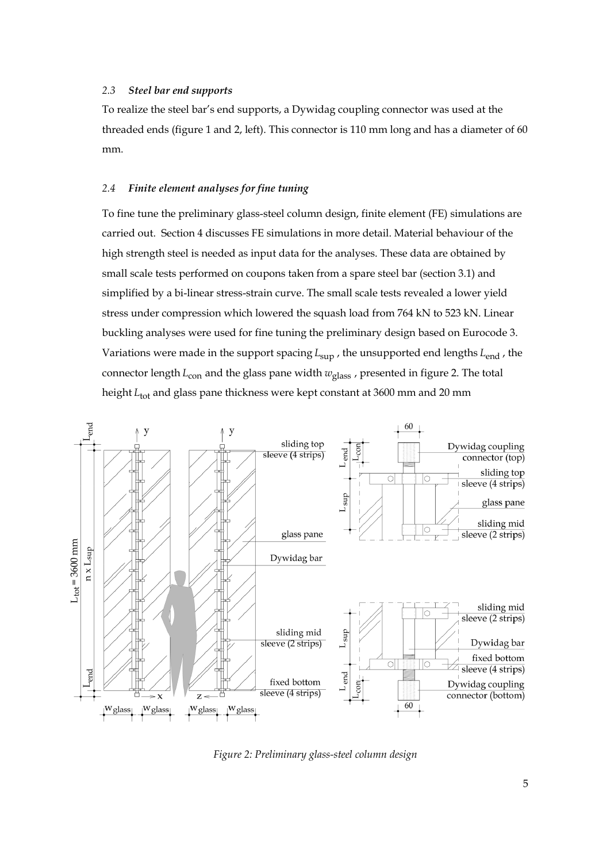## *2.3 Steel bar end supports*

To realize the steel bar's end supports, a Dywidag coupling connector was used at the threaded ends (figure 1 and 2, left). This connector is 110 mm long and has a diameter of 60 mm.

## *2.4 Finite element analyses for fine tuning*

To fine tune the preliminary glass-steel column design, finite element (FE) simulations are carried out. Section 4 discusses FE simulations in more detail. Material behaviour of the high strength steel is needed as input data for the analyses. These data are obtained by small scale tests performed on coupons taken from a spare steel bar (section 3.1) and simplified by a bi-linear stress-strain curve. The small scale tests revealed a lower yield stress under compression which lowered the squash load from 764 kN to 523 kN. Linear buckling analyses were used for fine tuning the preliminary design based on Eurocode 3. Variations were made in the support spacing  $L_{\text{sun}}$ , the unsupported end lengths  $L_{\text{end}}$ , the connector length *L*<sub>con</sub> and the glass pane width  $w_{\text{glass}}$ , presented in figure 2. The total height *L*<sub>tot</sub> and glass pane thickness were kept constant at 3600 mm and 20 mm



*Figure 2: Preliminary glass-steel column design*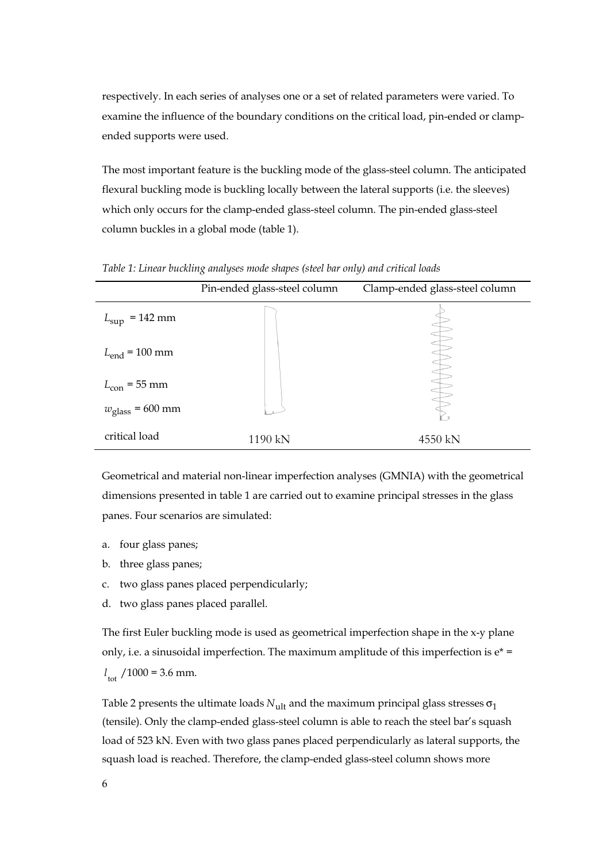respectively. In each series of analyses one or a set of related parameters were varied. To examine the influence of the boundary conditions on the critical load, pin-ended or clampended supports were used.

The most important feature is the buckling mode of the glass-steel column. The anticipated flexural buckling mode is buckling locally between the lateral supports (i.e. the sleeves) which only occurs for the clamp-ended glass-steel column. The pin-ended glass-steel column buckles in a global mode (table 1).

|                           | Pin-ended glass-steel column | Clamp-ended glass-steel column |
|---------------------------|------------------------------|--------------------------------|
| $L_{\rm sup}$ = 142 mm    |                              |                                |
| $L_{\text{end}}$ = 100 mm |                              |                                |
| $L_{\text{con}}$ = 55 mm  |                              |                                |
| $w_{\rm glass}$ = 600 mm  |                              | $\mathbf{x}$                   |
| critical load             | 1190 kN                      | 4550 kN                        |

*Table 1: Linear buckling analyses mode shapes (steel bar only) and critical loads* 

Geometrical and material non-linear imperfection analyses (GMNIA) with the geometrical dimensions presented in table 1 are carried out to examine principal stresses in the glass panes. Four scenarios are simulated:

- a. four glass panes;
- b. three glass panes;
- c. two glass panes placed perpendicularly;
- d. two glass panes placed parallel.

The first Euler buckling mode is used as geometrical imperfection shape in the x-y plane only, i.e. a sinusoidal imperfection. The maximum amplitude of this imperfection is  $e^*$  =  $l_{\text{tot}}$  /1000 = 3.6 mm.

Table 2 presents the ultimate loads  $N_{\text{ul}}$  and the maximum principal glass stresses  $\sigma_1$ (tensile). Only the clamp-ended glass-steel column is able to reach the steel bar's squash load of 523 kN. Even with two glass panes placed perpendicularly as lateral supports, the squash load is reached. Therefore, the clamp-ended glass-steel column shows more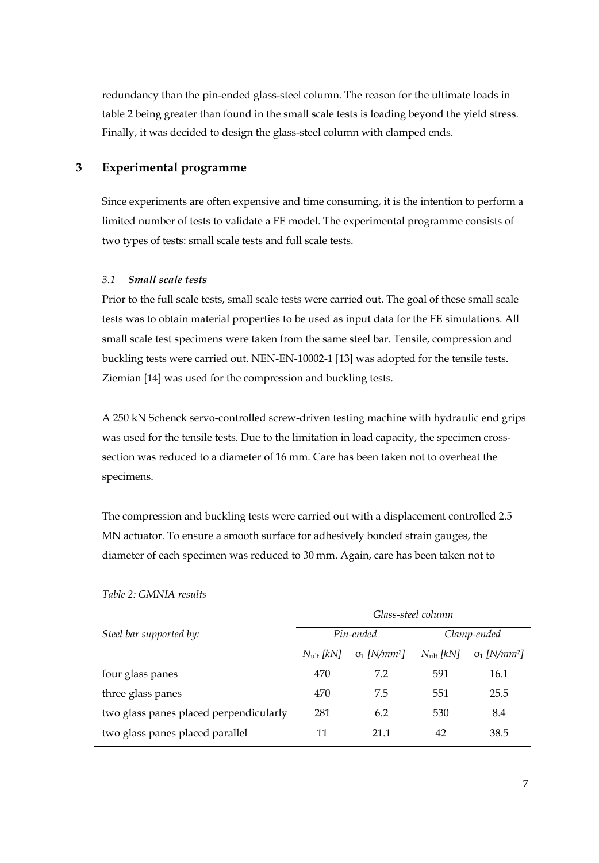redundancy than the pin-ended glass-steel column. The reason for the ultimate loads in table 2 being greater than found in the small scale tests is loading beyond the yield stress. Finally, it was decided to design the glass-steel column with clamped ends.

# **3 Experimental programme**

Since experiments are often expensive and time consuming, it is the intention to perform a limited number of tests to validate a FE model. The experimental programme consists of two types of tests: small scale tests and full scale tests.

## *3.1 Small scale tests*

Prior to the full scale tests, small scale tests were carried out. The goal of these small scale tests was to obtain material properties to be used as input data for the FE simulations. All small scale test specimens were taken from the same steel bar. Tensile, compression and buckling tests were carried out. NEN-EN-10002-1 [13] was adopted for the tensile tests. Ziemian [14] was used for the compression and buckling tests.

A 250 kN Schenck servo-controlled screw-driven testing machine with hydraulic end grips was used for the tensile tests. Due to the limitation in load capacity, the specimen crosssection was reduced to a diameter of 16 mm. Care has been taken not to overheat the specimens.

The compression and buckling tests were carried out with a displacement controlled 2.5 MN actuator. To ensure a smooth surface for adhesively bonded strain gauges, the diameter of each specimen was reduced to 30 mm. Again, care has been taken not to

|                                        | Glass-steel column    |                                 |                    |                                 |
|----------------------------------------|-----------------------|---------------------------------|--------------------|---------------------------------|
| Steel bar supported by:                | Pin-ended             |                                 | Clamp-ended        |                                 |
|                                        | $N_{\text{ult}}$ [kN] | $\sigma_1$ [N/mm <sup>2</sup> ] | $N_{ult}$ [ $kN$ ] | $\sigma_1$ [N/mm <sup>2</sup> ] |
| four glass panes                       | 470                   | 72                              | 591                | 16.1                            |
| three glass panes                      | 470                   | 7.5                             | 551                | 25.5                            |
| two glass panes placed perpendicularly | 281                   | 6.2                             | 530                | 8.4                             |
| two glass panes placed parallel        | 11                    | 21.1                            | 42                 | 38.5                            |

*Table 2: GMNIA results*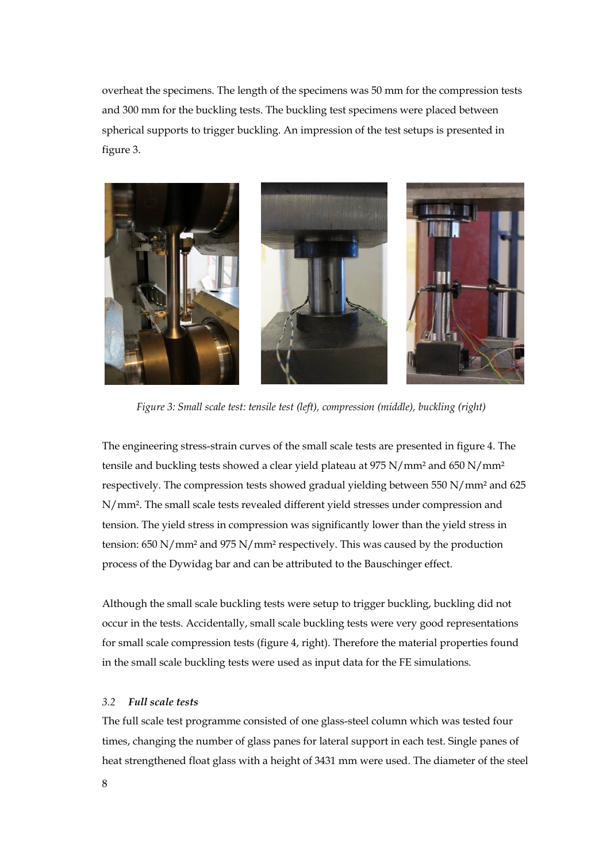overheat the specimens. The length of the specimens was 50 mm for the compression tests and 300 mm for the buckling tests. The buckling test specimens were placed between spherical supports to trigger buckling. An impression of the test setups is presented in figure 3.



 *Figure 3: Small scale test: tensile test (left), compression (middle), buckling (right)* 

The engineering stress-strain curves of the small scale tests are presented in figure 4. The tensile and buckling tests showed a clear yield plateau at 975 N/mm² and 650 N/mm² respectively. The compression tests showed gradual yielding between 550 N/mm² and 625 N/mm². The small scale tests revealed different yield stresses under compression and tension. The yield stress in compression was significantly lower than the yield stress in tension: 650 N/mm² and 975 N/mm² respectively. This was caused by the production process of the Dywidag bar and can be attributed to the Bauschinger effect.

Although the small scale buckling tests were setup to trigger buckling, buckling did not occur in the tests. Accidentally, small scale buckling tests were very good representations for small scale compression tests (figure 4, right). Therefore the material properties found in the small scale buckling tests were used as input data for the FE simulations.

# *3.2 Full scale tests*

The full scale test programme consisted of one glass-steel column which was tested four times, changing the number of glass panes for lateral support in each test. Single panes of heat strengthened float glass with a height of 3431 mm were used. The diameter of the steel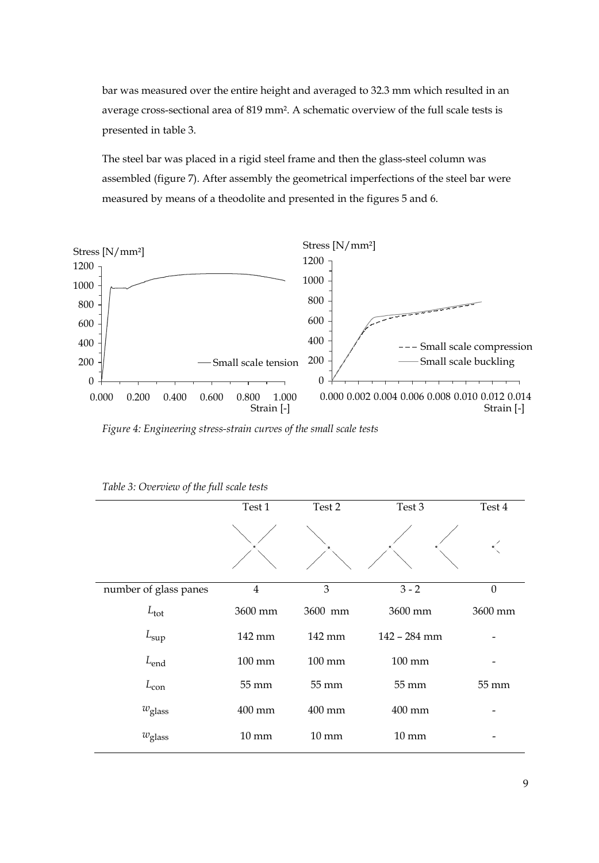bar was measured over the entire height and averaged to 32.3 mm which resulted in an average cross-sectional area of 819 mm². A schematic overview of the full scale tests is presented in table 3.

The steel bar was placed in a rigid steel frame and then the glass-steel column was assembled (figure 7). After assembly the geometrical imperfections of the steel bar were measured by means of a theodolite and presented in the figures 5 and 6.



*Figure 4: Engineering stress-strain curves of the small scale tests* 

|                       | Test 1           | Test 2           | Test 3           | Test 4   |
|-----------------------|------------------|------------------|------------------|----------|
|                       |                  |                  |                  |          |
| number of glass panes | $\overline{4}$   | 3                | $3 - 2$          | $\theta$ |
| $L_{\text{tot}}$      | 3600 mm          | 3600 mm          | 3600 mm          | 3600 mm  |
| $L_{\rm sup}$         | 142 mm           | 142 mm           | 142 - 284 mm     |          |
| $L_{end}$             | $100 \text{ mm}$ | $100 \text{ mm}$ | $100 \text{ mm}$ |          |
| $L_{\rm con}$         | 55 mm            | 55 mm            | 55 mm            | 55 mm    |
| $w_{\text{glass}}$    | 400 mm           | 400 mm           | 400 mm           |          |
| $w_{\rm glass}$       | $10 \text{ mm}$  | $10 \text{ mm}$  | $10 \text{ mm}$  |          |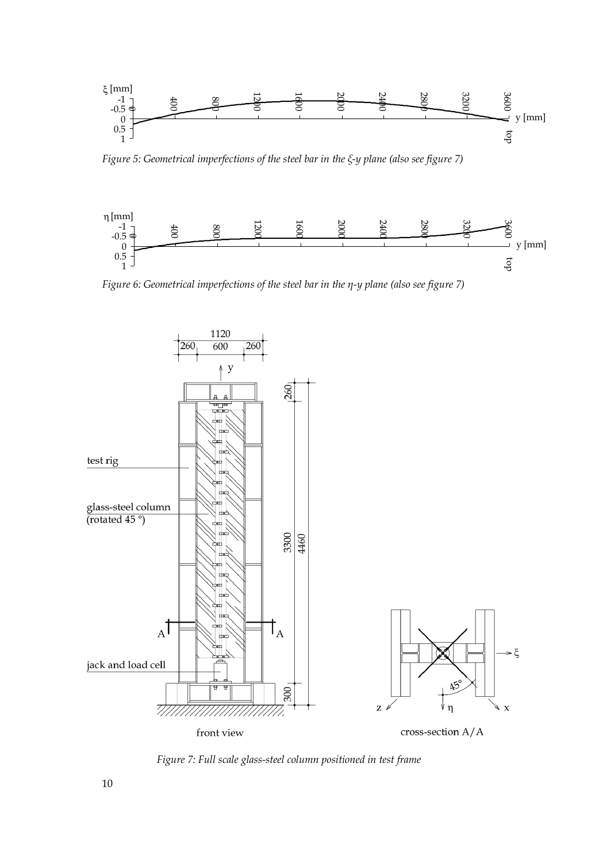

*Figure 5: Geometrical imperfections of the steel bar in the ξ-y plane (also see figure 7)* 



*Figure 6: Geometrical imperfections of the steel bar in the η-y plane (also see figure 7)* 



 *Figure 7: Full scale glass-steel column positioned in test frame*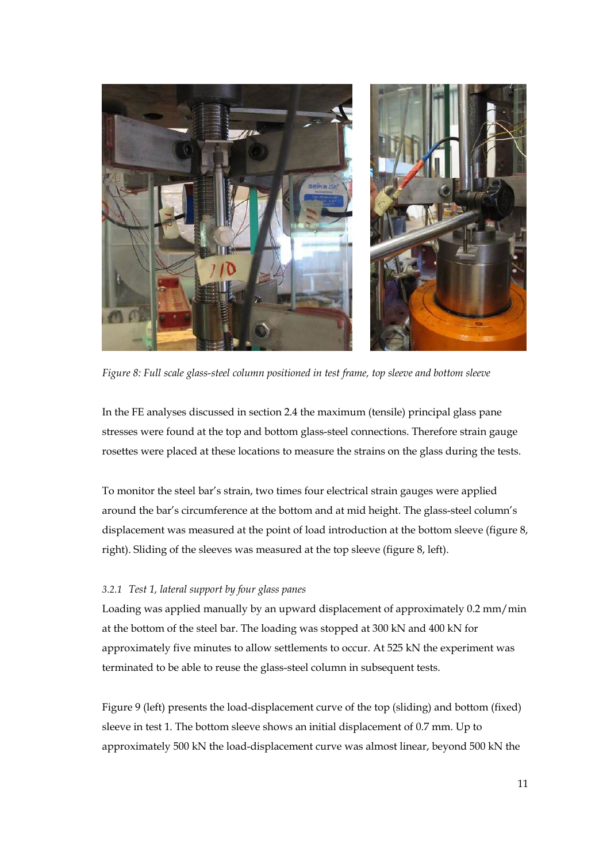

*Figure 8: Full scale glass-steel column positioned in test frame, top sleeve and bottom sleeve*

In the FE analyses discussed in section 2.4 the maximum (tensile) principal glass pane stresses were found at the top and bottom glass-steel connections. Therefore strain gauge rosettes were placed at these locations to measure the strains on the glass during the tests.

To monitor the steel bar's strain, two times four electrical strain gauges were applied around the bar's circumference at the bottom and at mid height. The glass-steel column's displacement was measured at the point of load introduction at the bottom sleeve (figure 8, right). Sliding of the sleeves was measured at the top sleeve (figure 8, left).

## *3.2.1 Test 1, lateral support by four glass panes*

Loading was applied manually by an upward displacement of approximately 0.2 mm/min at the bottom of the steel bar. The loading was stopped at 300 kN and 400 kN for approximately five minutes to allow settlements to occur. At 525 kN the experiment was terminated to be able to reuse the glass-steel column in subsequent tests.

Figure 9 (left) presents the load-displacement curve of the top (sliding) and bottom (fixed) sleeve in test 1. The bottom sleeve shows an initial displacement of 0.7 mm. Up to approximately 500 kN the load-displacement curve was almost linear, beyond 500 kN the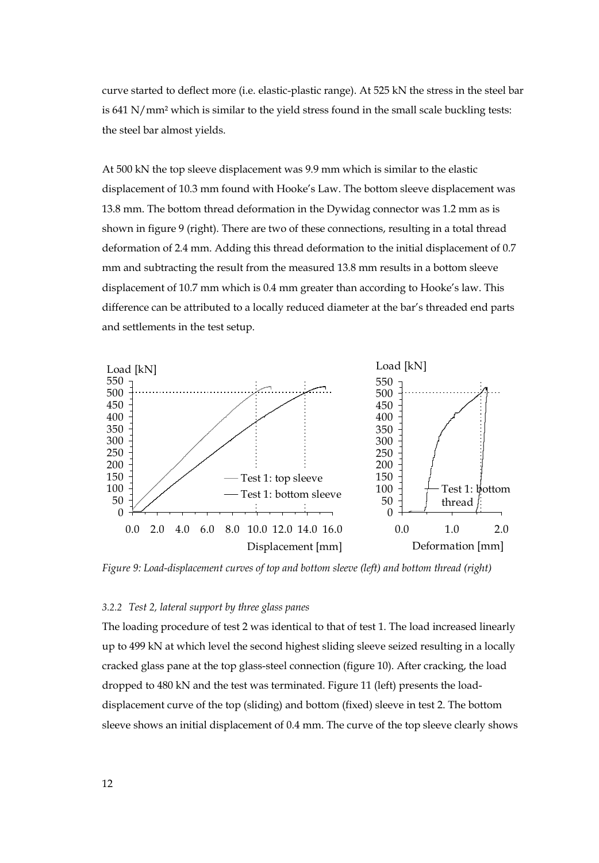curve started to deflect more (i.e. elastic-plastic range). At 525 kN the stress in the steel bar is 641 N/mm² which is similar to the yield stress found in the small scale buckling tests: the steel bar almost yields.

At 500 kN the top sleeve displacement was 9.9 mm which is similar to the elastic displacement of 10.3 mm found with Hooke's Law. The bottom sleeve displacement was 13.8 mm. The bottom thread deformation in the Dywidag connector was 1.2 mm as is shown in figure 9 (right). There are two of these connections, resulting in a total thread deformation of 2.4 mm. Adding this thread deformation to the initial displacement of 0.7 mm and subtracting the result from the measured 13.8 mm results in a bottom sleeve displacement of 10.7 mm which is 0.4 mm greater than according to Hooke's law. This difference can be attributed to a locally reduced diameter at the bar's threaded end parts and settlements in the test setup.



*Figure 9: Load-displacement curves of top and bottom sleeve (left) and bottom thread (right)* 

#### *3.2.2 Test 2, lateral support by three glass panes*

The loading procedure of test 2 was identical to that of test 1. The load increased linearly up to 499 kN at which level the second highest sliding sleeve seized resulting in a locally cracked glass pane at the top glass-steel connection (figure 10). After cracking, the load dropped to 480 kN and the test was terminated. Figure 11 (left) presents the loaddisplacement curve of the top (sliding) and bottom (fixed) sleeve in test 2. The bottom sleeve shows an initial displacement of 0.4 mm. The curve of the top sleeve clearly shows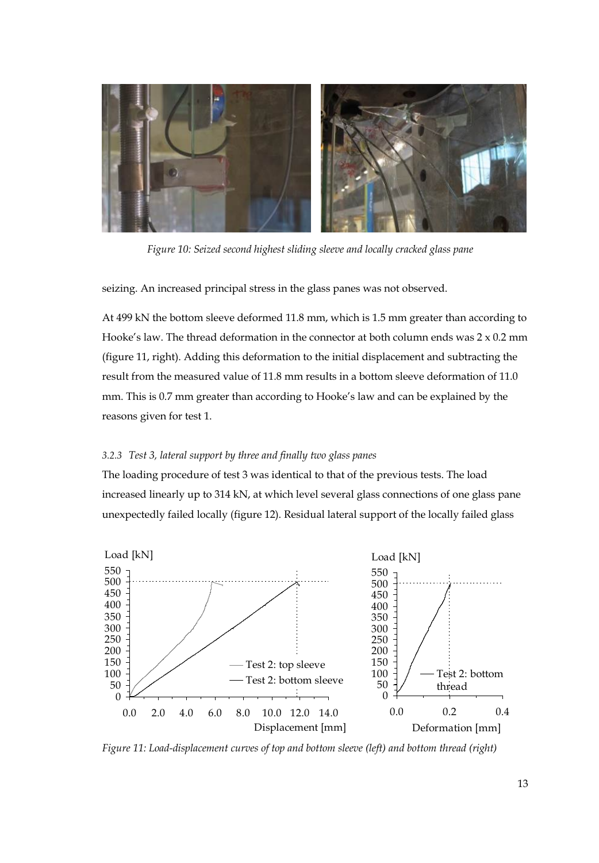

 *Figure 10: Seized second highest sliding sleeve and locally cracked glass pane* 

seizing. An increased principal stress in the glass panes was not observed.

At 499 kN the bottom sleeve deformed 11.8 mm, which is 1.5 mm greater than according to Hooke's law. The thread deformation in the connector at both column ends was  $2 \times 0.2$  mm (figure 11, right). Adding this deformation to the initial displacement and subtracting the result from the measured value of 11.8 mm results in a bottom sleeve deformation of 11.0 mm. This is 0.7 mm greater than according to Hooke's law and can be explained by the reasons given for test 1.

## *3.2.3 Test 3, lateral support by three and finally two glass panes*

The loading procedure of test 3 was identical to that of the previous tests. The load increased linearly up to 314 kN, at which level several glass connections of one glass pane unexpectedly failed locally (figure 12). Residual lateral support of the locally failed glass



*Figure 11: Load-displacement curves of top and bottom sleeve (left) and bottom thread (right)*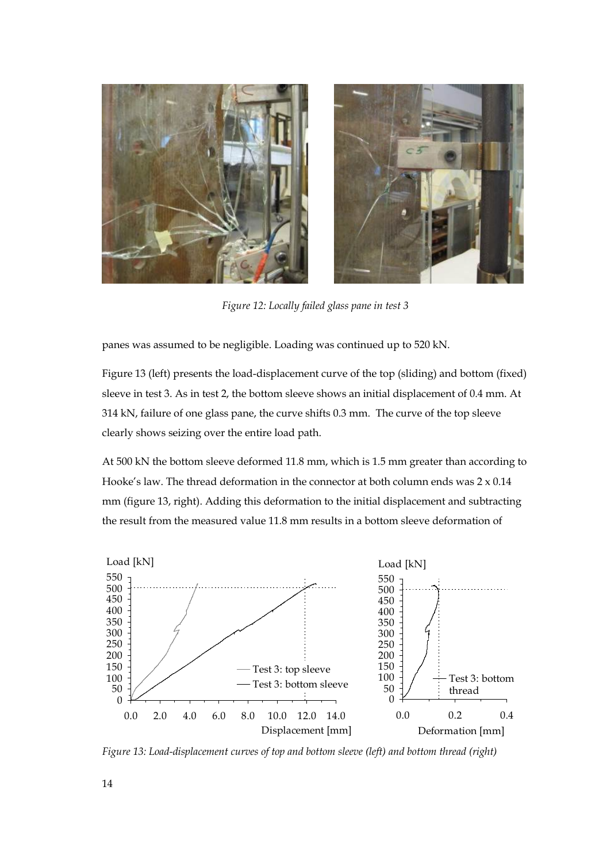

*Figure 12: Locally failed glass pane in test 3* 

panes was assumed to be negligible. Loading was continued up to 520 kN.

Figure 13 (left) presents the load-displacement curve of the top (sliding) and bottom (fixed) sleeve in test 3. As in test 2, the bottom sleeve shows an initial displacement of 0.4 mm. At 314 kN, failure of one glass pane, the curve shifts 0.3 mm. The curve of the top sleeve clearly shows seizing over the entire load path.

At 500 kN the bottom sleeve deformed 11.8 mm, which is 1.5 mm greater than according to Hooke's law. The thread deformation in the connector at both column ends was  $2 \times 0.14$ mm (figure 13, right). Adding this deformation to the initial displacement and subtracting the result from the measured value 11.8 mm results in a bottom sleeve deformation of



*Figure 13: Load-displacement curves of top and bottom sleeve (left) and bottom thread (right)*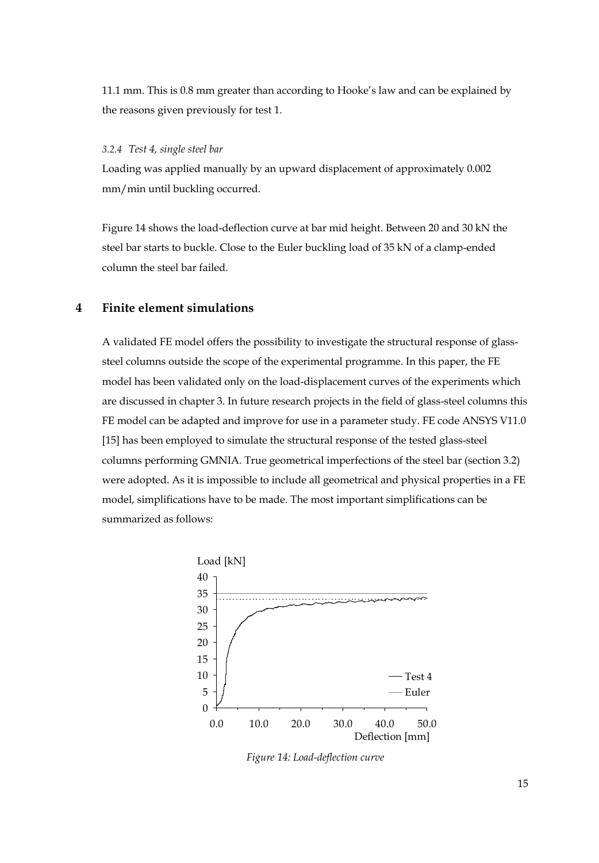11.1 mm. This is 0.8 mm greater than according to Hooke's law and can be explained by the reasons given previously for test 1.

## *3.2.4 Test 4, single steel bar*

Loading was applied manually by an upward displacement of approximately 0.002 mm/min until buckling occurred.

Figure 14 shows the load-deflection curve at bar mid height. Between 20 and 30 kN the steel bar starts to buckle. Close to the Euler buckling load of 35 kN of a clamp-ended column the steel bar failed.

# **4 Finite element simulations**

A validated FE model offers the possibility to investigate the structural response of glasssteel columns outside the scope of the experimental programme. In this paper, the FE model has been validated only on the load-displacement curves of the experiments which are discussed in chapter 3. In future research projects in the field of glass-steel columns this FE model can be adapted and improve for use in a parameter study. FE code ANSYS V11.0 [15] has been employed to simulate the structural response of the tested glass-steel columns performing GMNIA. True geometrical imperfections of the steel bar (section 3.2) were adopted. As it is impossible to include all geometrical and physical properties in a FE model, simplifications have to be made. The most important simplifications can be summarized as follows:



*Figure 14: Load-deflection curve*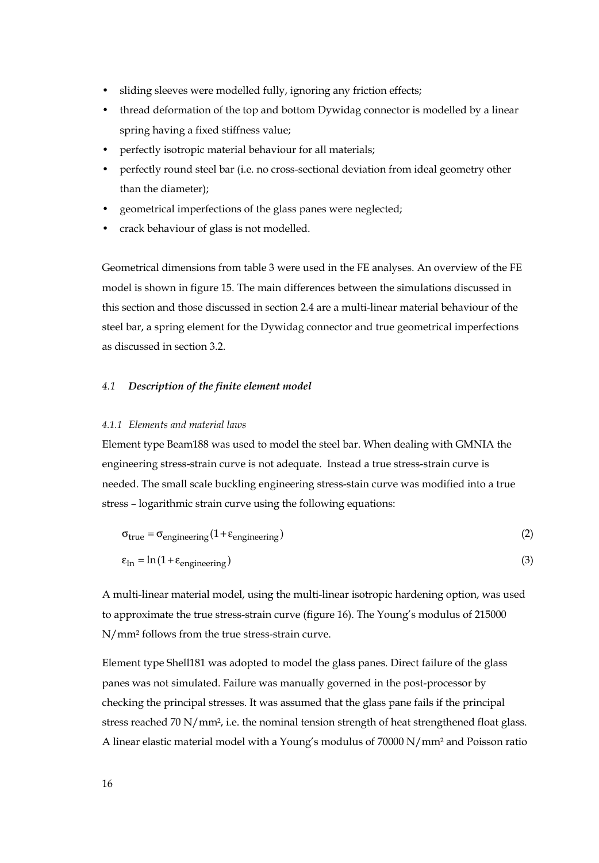- sliding sleeves were modelled fully, ignoring any friction effects;
- thread deformation of the top and bottom Dywidag connector is modelled by a linear spring having a fixed stiffness value;
- perfectly isotropic material behaviour for all materials;
- perfectly round steel bar (i.e. no cross-sectional deviation from ideal geometry other than the diameter);
- geometrical imperfections of the glass panes were neglected;
- crack behaviour of glass is not modelled.

Geometrical dimensions from table 3 were used in the FE analyses. An overview of the FE model is shown in figure 15. The main differences between the simulations discussed in this section and those discussed in section 2.4 are a multi-linear material behaviour of the steel bar, a spring element for the Dywidag connector and true geometrical imperfections as discussed in section 3.2.

## *4.1 Description of the finite element model*

#### *4.1.1 Elements and material laws*

Element type Beam188 was used to model the steel bar. When dealing with GMNIA the engineering stress-strain curve is not adequate. Instead a true stress-strain curve is needed. The small scale buckling engineering stress-stain curve was modified into a true stress – logarithmic strain curve using the following equations:

$$
\sigma_{true} = \sigma_{engineering}(1 + \varepsilon_{engineering})
$$
\n
$$
\varepsilon_{In} = \ln(1 + \varepsilon_{engineering})
$$
\n(2)

A multi-linear material model, using the multi-linear isotropic hardening option, was used to approximate the true stress-strain curve (figure 16). The Young's modulus of 215000 N/mm² follows from the true stress-strain curve.

Element type Shell181 was adopted to model the glass panes. Direct failure of the glass panes was not simulated. Failure was manually governed in the post-processor by checking the principal stresses. It was assumed that the glass pane fails if the principal stress reached 70 N/mm<sup>2</sup>, i.e. the nominal tension strength of heat strengthened float glass. A linear elastic material model with a Young's modulus of 70000 N/mm² and Poisson ratio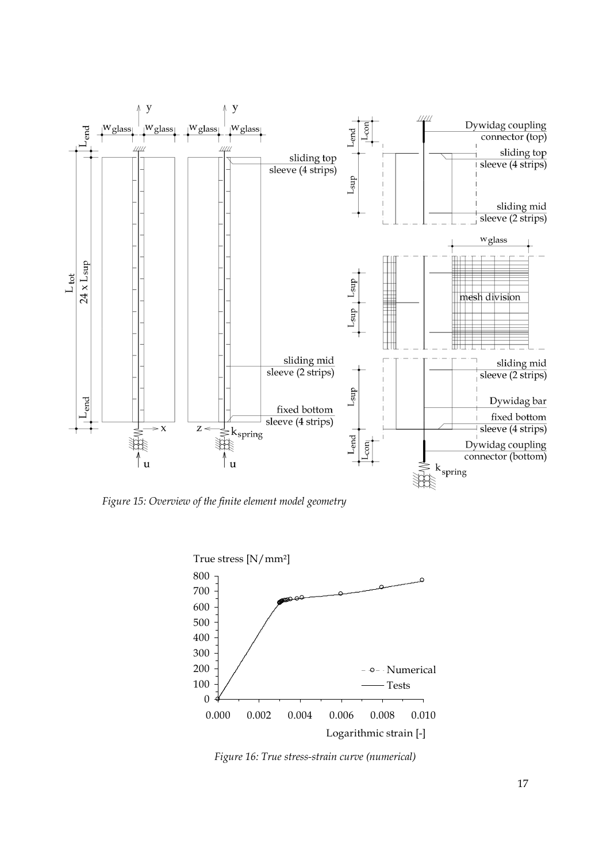

*Figure 15: Overview of the finite element model geometry* 



*Figure 16: True stress-strain curve (numerical)*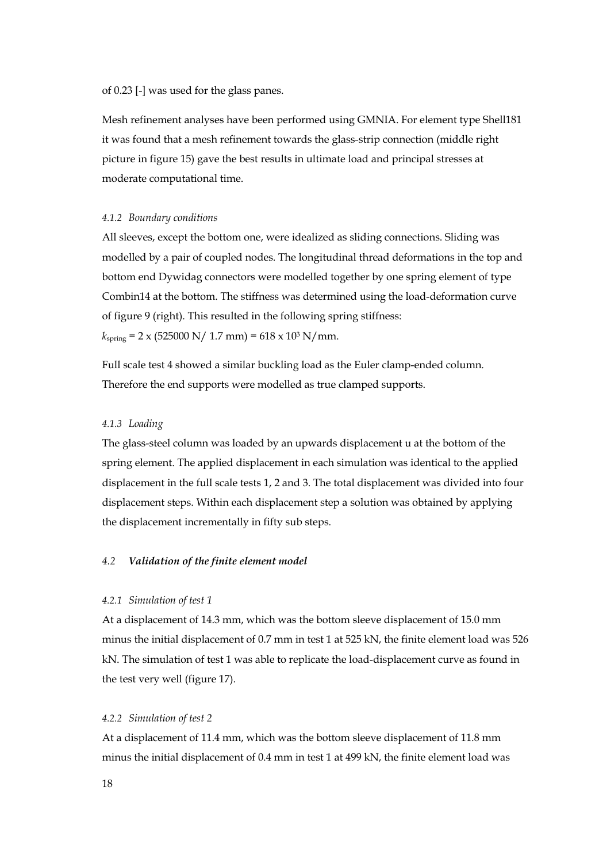of 0.23 [-] was used for the glass panes.

Mesh refinement analyses have been performed using GMNIA. For element type Shell181 it was found that a mesh refinement towards the glass-strip connection (middle right picture in figure 15) gave the best results in ultimate load and principal stresses at moderate computational time.

#### *4.1.2 Boundary conditions*

All sleeves, except the bottom one, were idealized as sliding connections. Sliding was modelled by a pair of coupled nodes. The longitudinal thread deformations in the top and bottom end Dywidag connectors were modelled together by one spring element of type Combin14 at the bottom. The stiffness was determined using the load-deformation curve of figure 9 (right). This resulted in the following spring stiffness:  $k_{\text{spring}}$  = 2 x (525000 N/ 1.7 mm) = 618 x 10<sup>3</sup> N/mm.

Full scale test 4 showed a similar buckling load as the Euler clamp-ended column. Therefore the end supports were modelled as true clamped supports.

## *4.1.3 Loading*

The glass-steel column was loaded by an upwards displacement u at the bottom of the spring element. The applied displacement in each simulation was identical to the applied displacement in the full scale tests 1, 2 and 3. The total displacement was divided into four displacement steps. Within each displacement step a solution was obtained by applying the displacement incrementally in fifty sub steps.

## *4.2 Validation of the finite element model*

#### *4.2.1 Simulation of test 1*

At a displacement of 14.3 mm, which was the bottom sleeve displacement of 15.0 mm minus the initial displacement of 0.7 mm in test 1 at 525 kN, the finite element load was 526 kN. The simulation of test 1 was able to replicate the load-displacement curve as found in the test very well (figure 17).

## *4.2.2 Simulation of test 2*

At a displacement of 11.4 mm, which was the bottom sleeve displacement of 11.8 mm minus the initial displacement of 0.4 mm in test 1 at 499 kN, the finite element load was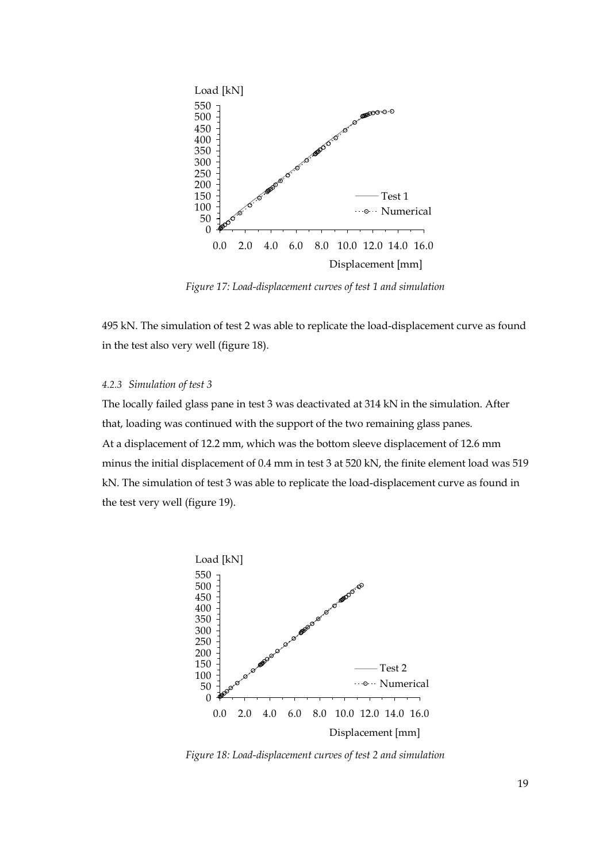

*Figure 17: Load-displacement curves of test 1 and simulation* 

495 kN. The simulation of test 2 was able to replicate the load-displacement curve as found in the test also very well (figure 18).

## *4.2.3 Simulation of test 3*

The locally failed glass pane in test 3 was deactivated at 314 kN in the simulation. After that, loading was continued with the support of the two remaining glass panes. At a displacement of 12.2 mm, which was the bottom sleeve displacement of 12.6 mm minus the initial displacement of 0.4 mm in test 3 at 520 kN, the finite element load was 519 kN. The simulation of test 3 was able to replicate the load-displacement curve as found in the test very well (figure 19).



*Figure 18: Load-displacement curves of test 2 and simulation*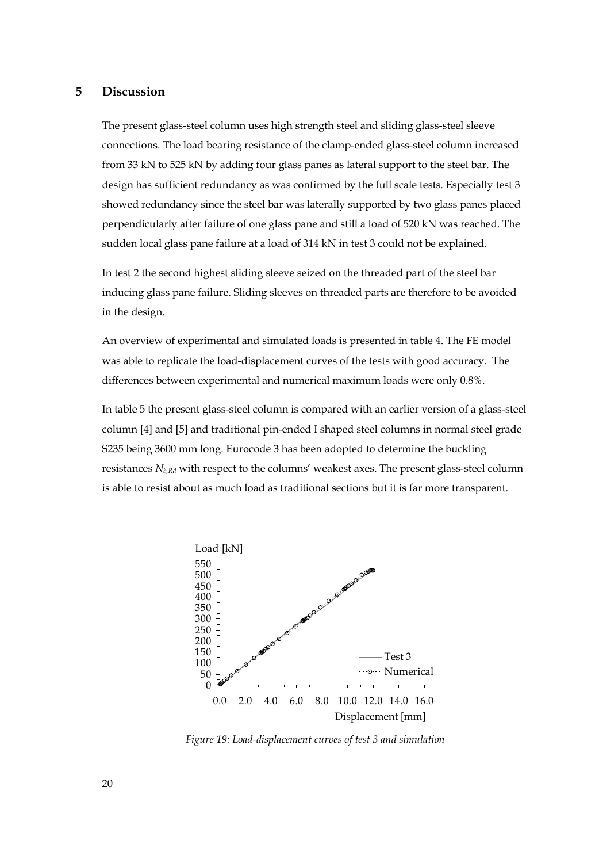# **5 Discussion**

The present glass-steel column uses high strength steel and sliding glass-steel sleeve connections. The load bearing resistance of the clamp-ended glass-steel column increased from 33 kN to 525 kN by adding four glass panes as lateral support to the steel bar. The design has sufficient redundancy as was confirmed by the full scale tests. Especially test 3 showed redundancy since the steel bar was laterally supported by two glass panes placed perpendicularly after failure of one glass pane and still a load of 520 kN was reached. The sudden local glass pane failure at a load of 314 kN in test 3 could not be explained.

In test 2 the second highest sliding sleeve seized on the threaded part of the steel bar inducing glass pane failure. Sliding sleeves on threaded parts are therefore to be avoided in the design.

An overview of experimental and simulated loads is presented in table 4. The FE model was able to replicate the load-displacement curves of the tests with good accuracy. The differences between experimental and numerical maximum loads were only 0.8%.

In table 5 the present glass-steel column is compared with an earlier version of a glass-steel column [4] and [5] and traditional pin-ended I shaped steel columns in normal steel grade S235 being 3600 mm long. Eurocode 3 has been adopted to determine the buckling resistances *Nb,Rd* with respect to the columns' weakest axes. The present glass-steel column is able to resist about as much load as traditional sections but it is far more transparent.



*Figure 19: Load-displacement curves of test 3 and simulation*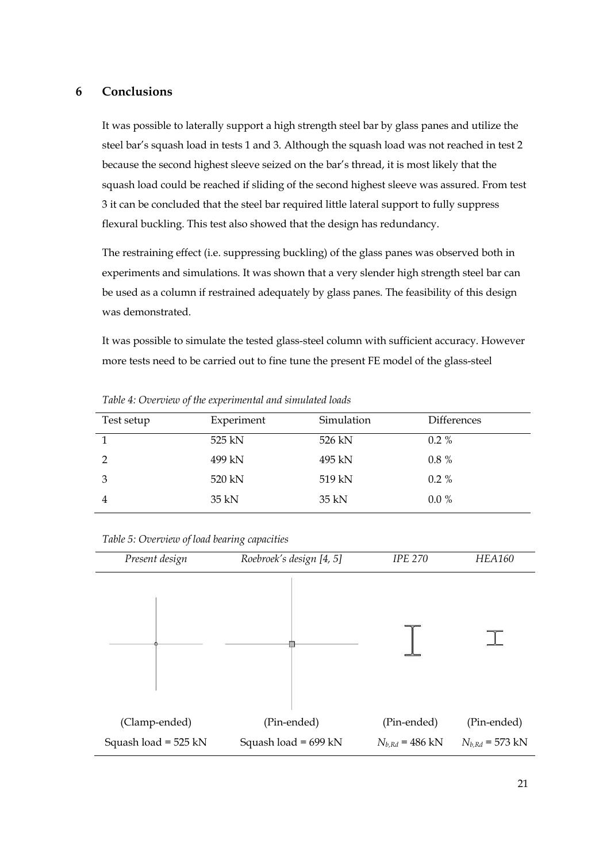## **6 Conclusions**

It was possible to laterally support a high strength steel bar by glass panes and utilize the steel bar's squash load in tests 1 and 3. Although the squash load was not reached in test 2 because the second highest sleeve seized on the bar's thread, it is most likely that the squash load could be reached if sliding of the second highest sleeve was assured. From test 3 it can be concluded that the steel bar required little lateral support to fully suppress flexural buckling. This test also showed that the design has redundancy.

The restraining effect (i.e. suppressing buckling) of the glass panes was observed both in experiments and simulations. It was shown that a very slender high strength steel bar can be used as a column if restrained adequately by glass panes. The feasibility of this design was demonstrated.

It was possible to simulate the tested glass-steel column with sufficient accuracy. However more tests need to be carried out to fine tune the present FE model of the glass-steel

| Test setup     | Experiment | Simulation | <b>Differences</b> |
|----------------|------------|------------|--------------------|
|                | 525 kN     | 526 kN     | $0.2\%$            |
| $\mathcal{P}$  | 499 kN     | 495 kN     | $0.8 \%$           |
| 3              | 520 kN     | 519 kN     | $0.2\%$            |
| $\overline{4}$ | 35 kN      | 35 kN      | $0.0\%$            |

*Table 4: Overview of the experimental and simulated loads* 

|  |  | Table 5: Overview of load bearing capacities |
|--|--|----------------------------------------------|
|  |  |                                              |

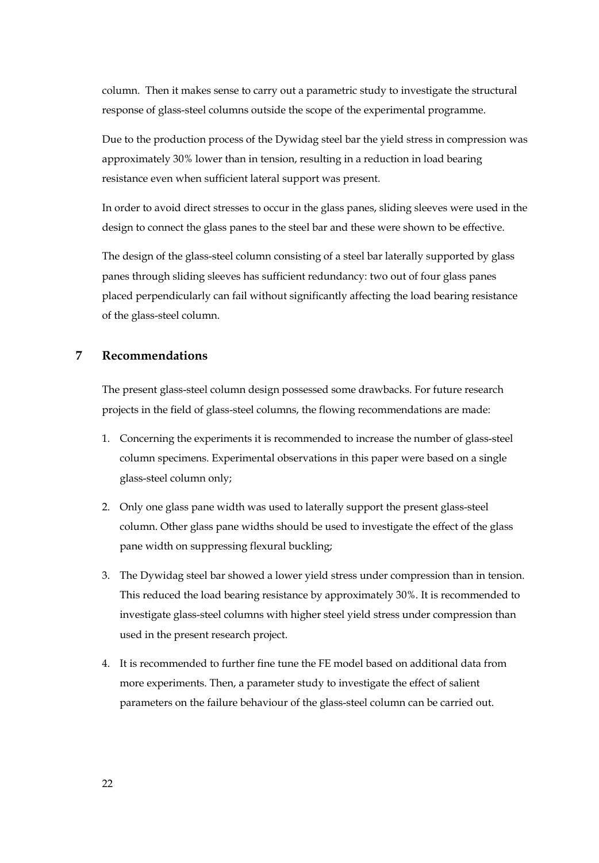column. Then it makes sense to carry out a parametric study to investigate the structural response of glass-steel columns outside the scope of the experimental programme.

Due to the production process of the Dywidag steel bar the yield stress in compression was approximately 30% lower than in tension, resulting in a reduction in load bearing resistance even when sufficient lateral support was present.

In order to avoid direct stresses to occur in the glass panes, sliding sleeves were used in the design to connect the glass panes to the steel bar and these were shown to be effective.

The design of the glass-steel column consisting of a steel bar laterally supported by glass panes through sliding sleeves has sufficient redundancy: two out of four glass panes placed perpendicularly can fail without significantly affecting the load bearing resistance of the glass-steel column.

# **7 Recommendations**

The present glass-steel column design possessed some drawbacks. For future research projects in the field of glass-steel columns, the flowing recommendations are made:

- 1. Concerning the experiments it is recommended to increase the number of glass-steel column specimens. Experimental observations in this paper were based on a single glass-steel column only;
- 2. Only one glass pane width was used to laterally support the present glass-steel column. Other glass pane widths should be used to investigate the effect of the glass pane width on suppressing flexural buckling;
- 3. The Dywidag steel bar showed a lower yield stress under compression than in tension. This reduced the load bearing resistance by approximately 30%. It is recommended to investigate glass-steel columns with higher steel yield stress under compression than used in the present research project.
- 4. It is recommended to further fine tune the FE model based on additional data from more experiments. Then, a parameter study to investigate the effect of salient parameters on the failure behaviour of the glass-steel column can be carried out.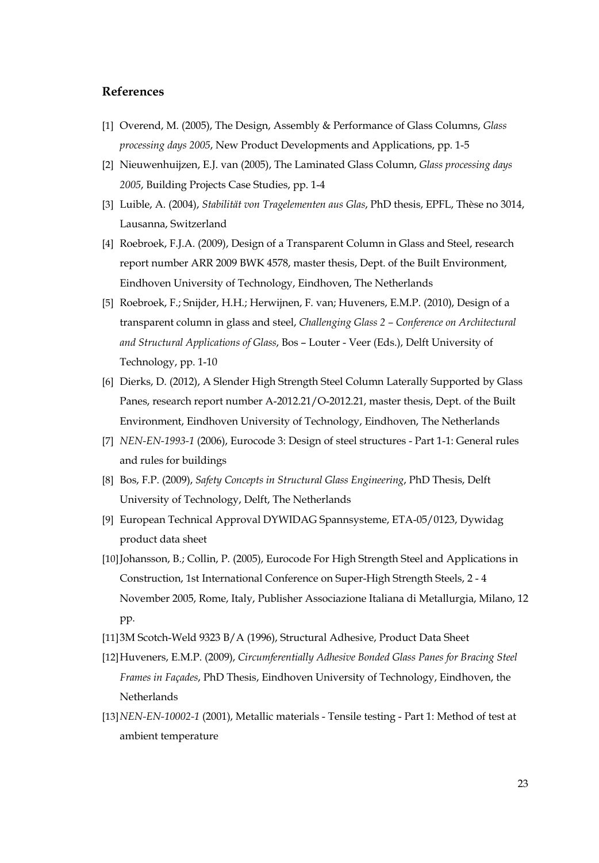# **References**

- [1] Overend, M. (2005), The Design, Assembly & Performance of Glass Columns, *Glass processing days 2005*, New Product Developments and Applications, pp. 1-5
- [2] Nieuwenhuijzen, E.J. van (2005), The Laminated Glass Column, *Glass processing days 2005*, Building Projects Case Studies, pp. 1-4
- [3] Luible, A. (2004), *Stabilität von Tragelementen aus Glas*, PhD thesis, EPFL, Thèse no 3014, Lausanna, Switzerland
- [4] Roebroek, F.J.A. (2009), Design of a Transparent Column in Glass and Steel, research report number ARR 2009 BWK 4578, master thesis, Dept. of the Built Environment, Eindhoven University of Technology, Eindhoven, The Netherlands
- [5] Roebroek, F.; Snijder, H.H.; Herwijnen, F. van; Huveners, E.M.P. (2010), Design of a transparent column in glass and steel, *Challenging Glass 2 – Conference on Architectural and Structural Applications of Glass*, Bos – Louter - Veer (Eds.), Delft University of Technology, pp. 1-10
- [6] Dierks, D. (2012), A Slender High Strength Steel Column Laterally Supported by Glass Panes, research report number A-2012.21/O-2012.21, master thesis, Dept. of the Built Environment, Eindhoven University of Technology, Eindhoven, The Netherlands
- [7] *NEN-EN-1993-1* (2006), Eurocode 3: Design of steel structures Part 1-1: General rules and rules for buildings
- [8] Bos, F.P. (2009), *Safety Concepts in Structural Glass Engineering*, PhD Thesis, Delft University of Technology, Delft, The Netherlands
- [9] European Technical Approval DYWIDAG Spannsysteme, ETA-05/0123, Dywidag product data sheet
- [10]Johansson, B.; Collin, P. (2005), Eurocode For High Strength Steel and Applications in Construction, 1st International Conference on Super-High Strength Steels, 2 - 4 November 2005, Rome, Italy, Publisher Associazione Italiana di Metallurgia, Milano, 12 pp.
- [11]3M Scotch-Weld 9323 B/A (1996), Structural Adhesive, Product Data Sheet
- [12]Huveners, E.M.P. (2009), *Circumferentially Adhesive Bonded Glass Panes for Bracing Steel Frames in Façades*, PhD Thesis, Eindhoven University of Technology, Eindhoven, the Netherlands
- [13]*NEN-EN-10002-1* (2001), Metallic materials Tensile testing Part 1: Method of test at ambient temperature